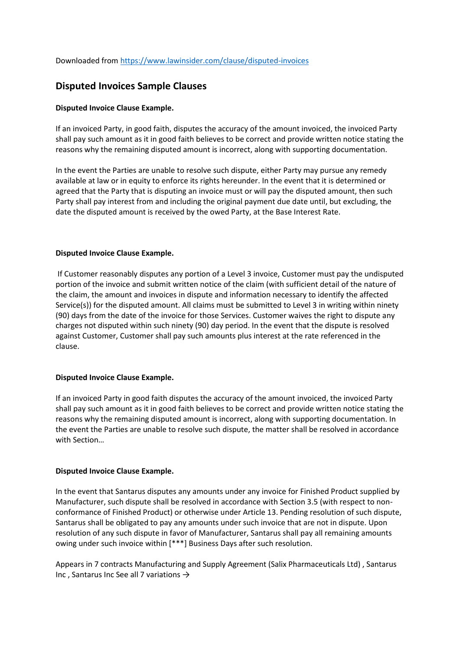## **Disputed Invoices Sample Clauses**

## **Disputed Invoice Clause Example.**

If an invoiced Party, in good faith, disputes the accuracy of the amount invoiced, the invoiced Party shall pay such amount as it in good faith believes to be correct and provide written notice stating the reasons why the remaining disputed amount is incorrect, along with supporting documentation.

In the event the Parties are unable to resolve such dispute, either Party may pursue any remedy available at law or in equity to enforce its rights hereunder. In the event that it is determined or agreed that the Party that is disputing an invoice must or will pay the disputed amount, then such Party shall pay interest from and including the original payment due date until, but excluding, the date the disputed amount is received by the owed Party, at the Base Interest Rate.

## **Disputed Invoice Clause Example.**

If Customer reasonably disputes any portion of a Level 3 invoice, Customer must pay the undisputed portion of the invoice and submit written notice of the claim (with sufficient detail of the nature of the claim, the amount and invoices in dispute and information necessary to identify the affected Service(s)) for the disputed amount. All claims must be submitted to Level 3 in writing within ninety (90) days from the date of the invoice for those Services. Customer waives the right to dispute any charges not disputed within such ninety (90) day period. In the event that the dispute is resolved against Customer, Customer shall pay such amounts plus interest at the rate referenced in the clause.

## **Disputed Invoice Clause Example.**

If an invoiced Party in good faith disputes the accuracy of the amount invoiced, the invoiced Party shall pay such amount as it in good faith believes to be correct and provide written notice stating the reasons why the remaining disputed amount is incorrect, along with supporting documentation. In the event the Parties are unable to resolve such dispute, the matter shall be resolved in accordance with Section…

## **Disputed Invoice Clause Example.**

In the event that Santarus disputes any amounts under any invoice for Finished Product supplied by Manufacturer, such dispute shall be resolved in accordance with Section 3.5 (with respect to nonconformance of Finished Product) or otherwise under Article 13. Pending resolution of such dispute, Santarus shall be obligated to pay any amounts under such invoice that are not in dispute. Upon resolution of any such dispute in favor of Manufacturer, Santarus shall pay all remaining amounts owing under such invoice within [\*\*\*] Business Days after such resolution.

Appears in 7 contracts Manufacturing and Supply Agreement (Salix Pharmaceuticals Ltd) , Santarus Inc , Santarus Inc See all 7 variations →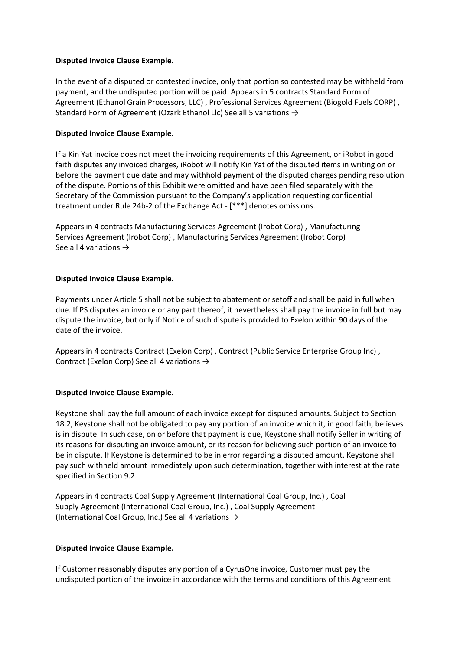## **Disputed Invoice Clause Example.**

In the event of a disputed or contested invoice, only that portion so contested may be withheld from payment, and the undisputed portion will be paid. Appears in 5 contracts Standard Form of Agreement (Ethanol Grain Processors, LLC) , Professional Services Agreement (Biogold Fuels CORP) , Standard Form of Agreement (Ozark Ethanol Llc) See all 5 variations →

## **Disputed Invoice Clause Example.**

If a Kin Yat invoice does not meet the invoicing requirements of this Agreement, or iRobot in good faith disputes any invoiced charges, iRobot will notify Kin Yat of the disputed items in writing on or before the payment due date and may withhold payment of the disputed charges pending resolution of the dispute. Portions of this Exhibit were omitted and have been filed separately with the Secretary of the Commission pursuant to the Company's application requesting confidential treatment under Rule 24b-2 of the Exchange Act - [\*\*\*] denotes omissions.

Appears in 4 contracts Manufacturing Services Agreement (Irobot Corp) , Manufacturing Services Agreement (Irobot Corp) , Manufacturing Services Agreement (Irobot Corp) See all 4 variations  $\rightarrow$ 

## **Disputed Invoice Clause Example.**

Payments under Article 5 shall not be subject to abatement or setoff and shall be paid in full when due. If PS disputes an invoice or any part thereof, it nevertheless shall pay the invoice in full but may dispute the invoice, but only if Notice of such dispute is provided to Exelon within 90 days of the date of the invoice.

Appears in 4 contracts Contract (Exelon Corp) , Contract (Public Service Enterprise Group Inc) , Contract (Exelon Corp) See all 4 variations →

## **Disputed Invoice Clause Example.**

Keystone shall pay the full amount of each invoice except for disputed amounts. Subject to Section 18.2, Keystone shall not be obligated to pay any portion of an invoice which it, in good faith, believes is in dispute. In such case, on or before that payment is due, Keystone shall notify Seller in writing of its reasons for disputing an invoice amount, or its reason for believing such portion of an invoice to be in dispute. If Keystone is determined to be in error regarding a disputed amount, Keystone shall pay such withheld amount immediately upon such determination, together with interest at the rate specified in Section 9.2.

Appears in 4 contracts Coal Supply Agreement (International Coal Group, Inc.) , Coal Supply Agreement (International Coal Group, Inc.) , Coal Supply Agreement (International Coal Group, Inc.) See all 4 variations  $\rightarrow$ 

## **Disputed Invoice Clause Example.**

If Customer reasonably disputes any portion of a CyrusOne invoice, Customer must pay the undisputed portion of the invoice in accordance with the terms and conditions of this Agreement